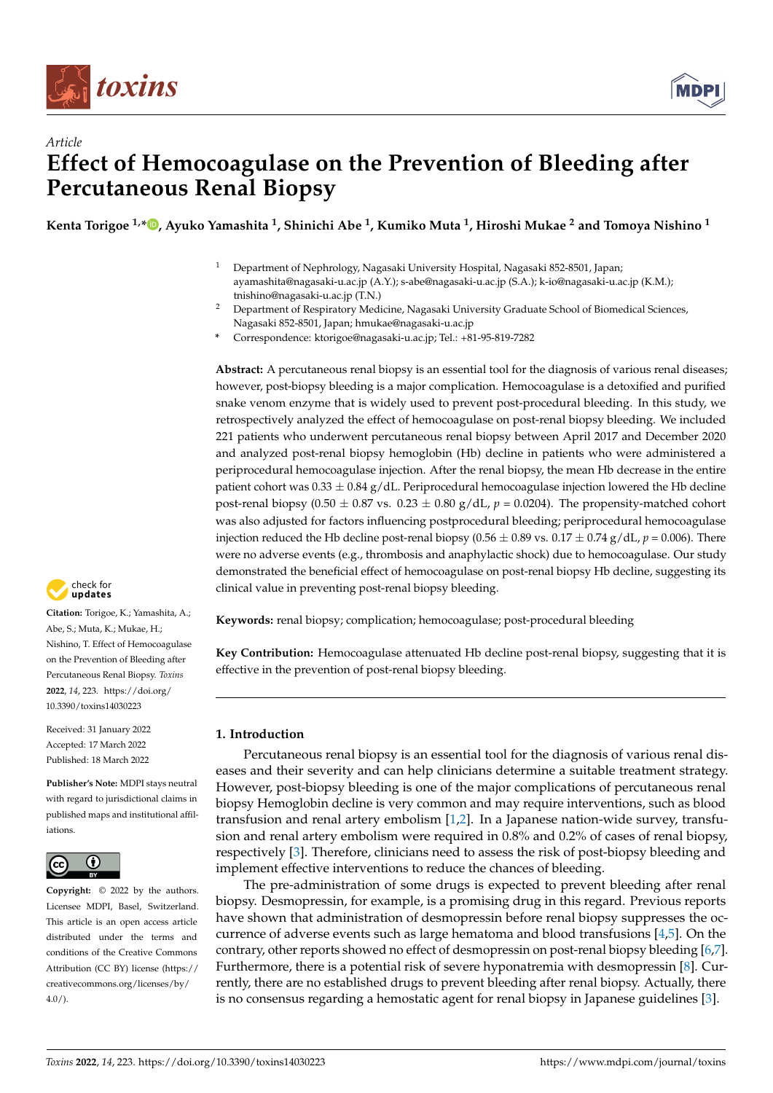



# *Article* **Effect of Hemocoagulase on the Prevention of Bleeding after Percutaneous Renal Biopsy**

**Kenta Torigoe 1,[\\*](https://orcid.org/0000-0003-3085-0391) , Ayuko Yamashita <sup>1</sup> , Shinichi Abe <sup>1</sup> , Kumiko Muta <sup>1</sup> , Hiroshi Mukae <sup>2</sup> and Tomoya Nishino <sup>1</sup>**

- <sup>1</sup> Department of Nephrology, Nagasaki University Hospital, Nagasaki 852-8501, Japan; ayamashita@nagasaki-u.ac.jp (A.Y.); s-abe@nagasaki-u.ac.jp (S.A.); k-io@nagasaki-u.ac.jp (K.M.); tnishino@nagasaki-u.ac.jp (T.N.)
- <sup>2</sup> Department of Respiratory Medicine, Nagasaki University Graduate School of Biomedical Sciences, Nagasaki 852-8501, Japan; hmukae@nagasaki-u.ac.jp
- **\*** Correspondence: ktorigoe@nagasaki-u.ac.jp; Tel.: +81-95-819-7282

**Abstract:** A percutaneous renal biopsy is an essential tool for the diagnosis of various renal diseases; however, post-biopsy bleeding is a major complication. Hemocoagulase is a detoxified and purified snake venom enzyme that is widely used to prevent post-procedural bleeding. In this study, we retrospectively analyzed the effect of hemocoagulase on post-renal biopsy bleeding. We included 221 patients who underwent percutaneous renal biopsy between April 2017 and December 2020 and analyzed post-renal biopsy hemoglobin (Hb) decline in patients who were administered a periprocedural hemocoagulase injection. After the renal biopsy, the mean Hb decrease in the entire patient cohort was  $0.33 \pm 0.84$  g/dL. Periprocedural hemocoagulase injection lowered the Hb decline post-renal biopsy (0.50  $\pm$  0.87 vs. 0.23  $\pm$  0.80 g/dL,  $p = 0.0204$ ). The propensity-matched cohort was also adjusted for factors influencing postprocedural bleeding; periprocedural hemocoagulase injection reduced the Hb decline post-renal biopsy ( $0.56 \pm 0.89$  vs.  $0.17 \pm 0.74$  g/dL,  $p = 0.006$ ). There were no adverse events (e.g., thrombosis and anaphylactic shock) due to hemocoagulase. Our study demonstrated the beneficial effect of hemocoagulase on post-renal biopsy Hb decline, suggesting its clinical value in preventing post-renal biopsy bleeding.

**Keywords:** renal biopsy; complication; hemocoagulase; post-procedural bleeding

**Key Contribution:** Hemocoagulase attenuated Hb decline post-renal biopsy, suggesting that it is effective in the prevention of post-renal biopsy bleeding.

# **1. Introduction**

Percutaneous renal biopsy is an essential tool for the diagnosis of various renal diseases and their severity and can help clinicians determine a suitable treatment strategy. However, post-biopsy bleeding is one of the major complications of percutaneous renal biopsy Hemoglobin decline is very common and may require interventions, such as blood transfusion and renal artery embolism [\[1,](#page-6-0)[2\]](#page-6-1). In a Japanese nation-wide survey, transfusion and renal artery embolism were required in 0.8% and 0.2% of cases of renal biopsy, respectively [\[3\]](#page-6-2). Therefore, clinicians need to assess the risk of post-biopsy bleeding and implement effective interventions to reduce the chances of bleeding.

The pre-administration of some drugs is expected to prevent bleeding after renal biopsy. Desmopressin, for example, is a promising drug in this regard. Previous reports have shown that administration of desmopressin before renal biopsy suppresses the occurrence of adverse events such as large hematoma and blood transfusions  $[4,5]$  $[4,5]$ . On the contrary, other reports showed no effect of desmopressin on post-renal biopsy bleeding [\[6](#page-6-5)[,7\]](#page-6-6). Furthermore, there is a potential risk of severe hyponatremia with desmopressin [\[8\]](#page-6-7). Currently, there are no established drugs to prevent bleeding after renal biopsy. Actually, there is no consensus regarding a hemostatic agent for renal biopsy in Japanese guidelines [\[3\]](#page-6-2).



**Citation:** Torigoe, K.; Yamashita, A.; Abe, S.; Muta, K.; Mukae, H.; Nishino, T. Effect of Hemocoagulase on the Prevention of Bleeding after Percutaneous Renal Biopsy. *Toxins* **2022**, *14*, 223. [https://doi.org/](https://doi.org/10.3390/toxins14030223) [10.3390/toxins14030223](https://doi.org/10.3390/toxins14030223)

Received: 31 January 2022 Accepted: 17 March 2022 Published: 18 March 2022

**Publisher's Note:** MDPI stays neutral with regard to jurisdictional claims in published maps and institutional affiliations.



**Copyright:** © 2022 by the authors. Licensee MDPI, Basel, Switzerland. This article is an open access article distributed under the terms and conditions of the Creative Commons Attribution (CC BY) license [\(https://](https://creativecommons.org/licenses/by/4.0/) [creativecommons.org/licenses/by/](https://creativecommons.org/licenses/by/4.0/)  $4.0/$ ).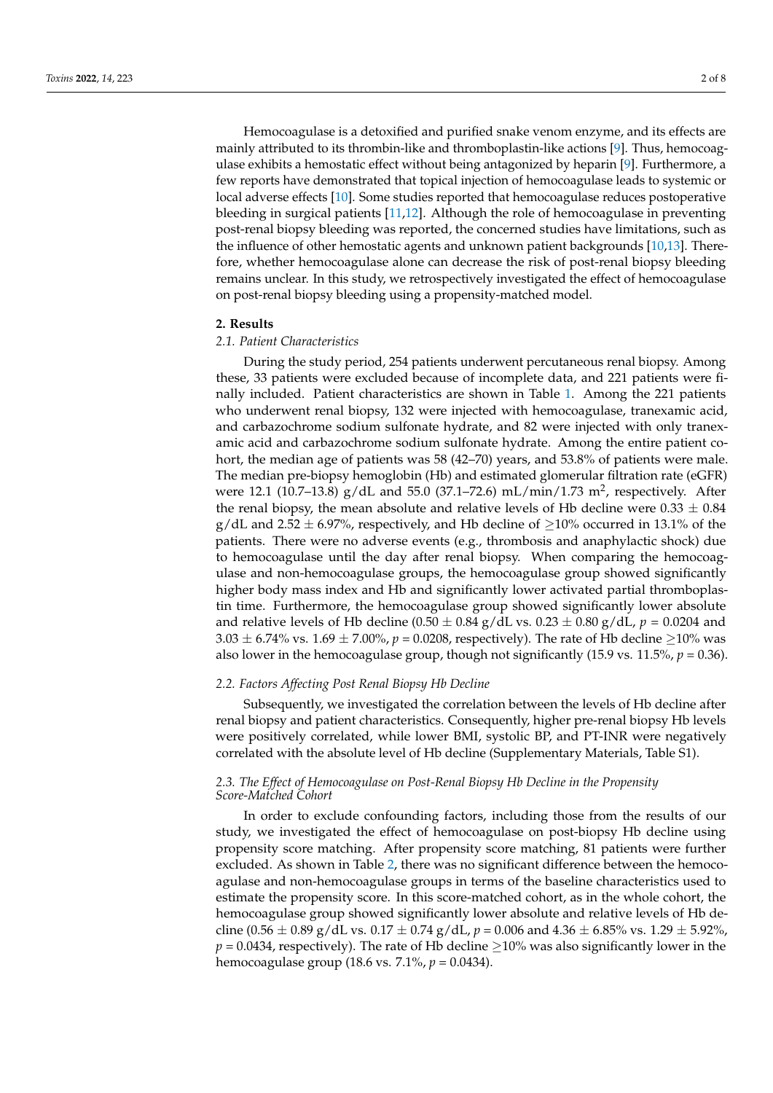Hemocoagulase is a detoxified and purified snake venom enzyme, and its effects are mainly attributed to its thrombin-like and thromboplastin-like actions [\[9\]](#page-6-8). Thus, hemocoagulase exhibits a hemostatic effect without being antagonized by heparin [\[9\]](#page-6-8). Furthermore, a few reports have demonstrated that topical injection of hemocoagulase leads to systemic or local adverse effects [\[10\]](#page-6-9). Some studies reported that hemocoagulase reduces postoperative bleeding in surgical patients [\[11](#page-6-10)[,12\]](#page-6-11). Although the role of hemocoagulase in preventing post-renal biopsy bleeding was reported, the concerned studies have limitations, such as the influence of other hemostatic agents and unknown patient backgrounds [\[10](#page-6-9)[,13\]](#page-6-12). Therefore, whether hemocoagulase alone can decrease the risk of post-renal biopsy bleeding remains unclear. In this study, we retrospectively investigated the effect of hemocoagulase on post-renal biopsy bleeding using a propensity-matched model.

### **2. Results**

### *2.1. Patient Characteristics*

During the study period, 254 patients underwent percutaneous renal biopsy. Among these, 33 patients were excluded because of incomplete data, and 221 patients were finally included. Patient characteristics are shown in Table [1.](#page-2-0) Among the 221 patients who underwent renal biopsy, 132 were injected with hemocoagulase, tranexamic acid, and carbazochrome sodium sulfonate hydrate, and 82 were injected with only tranexamic acid and carbazochrome sodium sulfonate hydrate. Among the entire patient cohort, the median age of patients was 58 (42–70) years, and 53.8% of patients were male. The median pre-biopsy hemoglobin (Hb) and estimated glomerular filtration rate (eGFR) were 12.1 (10.7–13.8)  $g/dL$  and 55.0 (37.1–72.6) mL/min/1.73 m<sup>2</sup>, respectively. After the renal biopsy, the mean absolute and relative levels of Hb decline were  $0.33 \pm 0.84$ g/dL and 2.52  $\pm$  6.97%, respectively, and Hb decline of  $\geq$ 10% occurred in 13.1% of the patients. There were no adverse events (e.g., thrombosis and anaphylactic shock) due to hemocoagulase until the day after renal biopsy. When comparing the hemocoagulase and non-hemocoagulase groups, the hemocoagulase group showed significantly higher body mass index and Hb and significantly lower activated partial thromboplastin time. Furthermore, the hemocoagulase group showed significantly lower absolute and relative levels of Hb decline  $(0.50 \pm 0.84 \text{ g}/dL \text{ vs. } 0.23 \pm 0.80 \text{ g}/dL, p = 0.0204 \text{ and }$ 3.03  $\pm$  6.74% vs. 1.69  $\pm$  7.00%, *p* = 0.0208, respectively). The rate of Hb decline  $\geq$ 10% was also lower in the hemocoagulase group, though not significantly  $(15.9 \text{ vs. } 11.5\%, p = 0.36)$ .

### *2.2. Factors Affecting Post Renal Biopsy Hb Decline*

Subsequently, we investigated the correlation between the levels of Hb decline after renal biopsy and patient characteristics. Consequently, higher pre-renal biopsy Hb levels were positively correlated, while lower BMI, systolic BP, and PT-INR were negatively correlated with the absolute level of Hb decline (Supplementary Materials, Table S1).

# *2.3. The Effect of Hemocoagulase on Post-Renal Biopsy Hb Decline in the Propensity Score-Matched Cohort*

In order to exclude confounding factors, including those from the results of our study, we investigated the effect of hemocoagulase on post-biopsy Hb decline using propensity score matching. After propensity score matching, 81 patients were further excluded. As shown in Table [2,](#page-2-1) there was no significant difference between the hemocoagulase and non-hemocoagulase groups in terms of the baseline characteristics used to estimate the propensity score. In this score-matched cohort, as in the whole cohort, the hemocoagulase group showed significantly lower absolute and relative levels of Hb decline (0.56  $\pm$  0.89 g/dL vs. 0.17  $\pm$  0.74 g/dL,  $p = 0.006$  and 4.36  $\pm$  6.85% vs. 1.29  $\pm$  5.92%,  $p = 0.0434$ , respectively). The rate of Hb decline  $\geq$ 10% was also significantly lower in the hemocoagulase group (18.6 vs. 7.1%, *p* = 0.0434).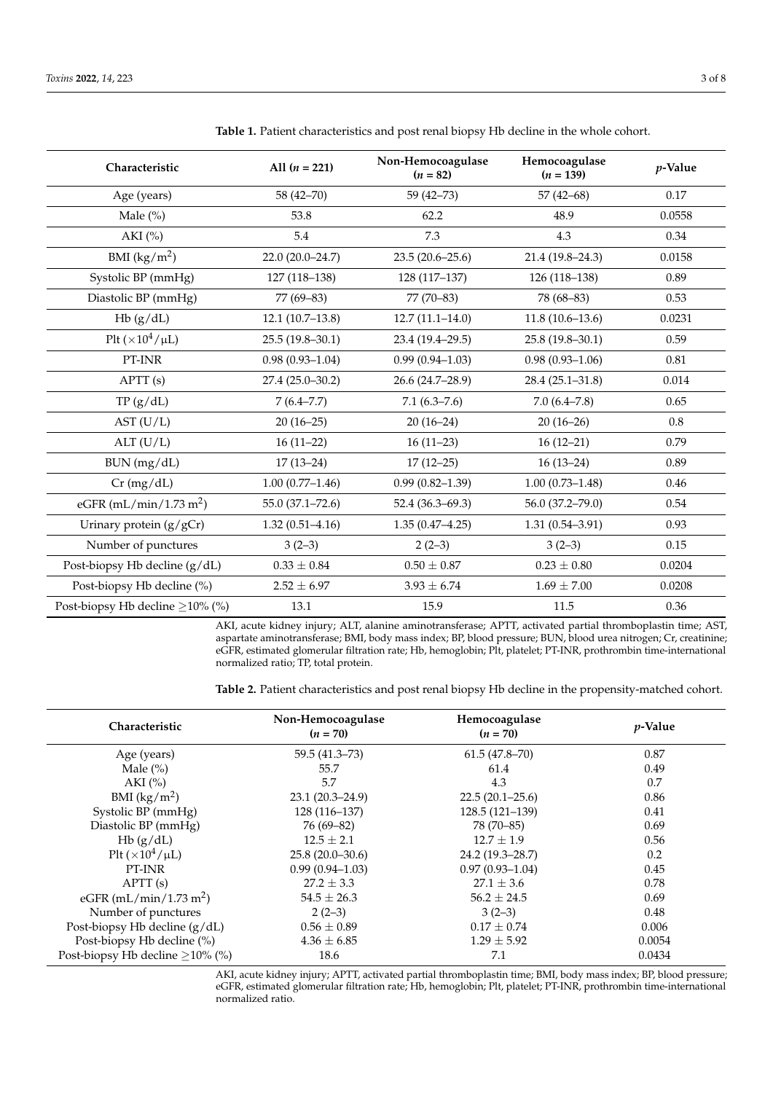| Characteristic                        | All $(n = 221)$     | Non-Hemocoagulase<br>$(n = 82)$ | Hemocoagulase<br>$(n = 139)$ | p-Value |
|---------------------------------------|---------------------|---------------------------------|------------------------------|---------|
| Age (years)                           | 58 (42-70)          | $59(42 - 73)$                   | $57(42 - 68)$                | 0.17    |
| Male $(\% )$                          | 53.8                | 62.2                            | 48.9                         | 0.0558  |
| AKI $(\% )$                           | 5.4                 | 7.3                             | 4.3                          | 0.34    |
| BMI $(kg/m^2)$                        | 22.0 (20.0-24.7)    | $23.5(20.6 - 25.6)$             | 21.4 (19.8-24.3)             | 0.0158  |
| Systolic BP (mmHg)                    | 127 (118-138)       | 128 (117-137)                   | 126 (118-138)                | 0.89    |
| Diastolic BP (mmHg)                   | 77 (69-83)          | $77(70-83)$                     | 78 (68-83)                   | 0.53    |
| Hb(g/dL)                              | $12.1(10.7-13.8)$   | $12.7(11.1 - 14.0)$             | $11.8(10.6 - 13.6)$          | 0.0231  |
| Plt $(\times 10^4/\mu L)$             | $25.5(19.8-30.1)$   | 23.4 (19.4-29.5)                | 25.8 (19.8-30.1)             | 0.59    |
| $\text{PT-INR}$                       | $0.98(0.93 - 1.04)$ | $0.99(0.94 - 1.03)$             | $0.98(0.93 - 1.06)$          | 0.81    |
| APT(s)                                | 27.4 (25.0-30.2)    | 26.6 (24.7-28.9)                | $28.4(25.1 - 31.8)$          | 0.014   |
| TP(g/dL)                              | $7(6.4 - 7.7)$      | $7.1(6.3 - 7.6)$                | $7.0(6.4 - 7.8)$             | 0.65    |
| AST (U/L)                             | $20(16-25)$         | $20(16-24)$                     | $20(16-26)$                  | 0.8     |
| ALT (U/L)                             | $16(11-22)$         | $16(11-23)$                     | $16(12-21)$                  | 0.79    |
| BUN (mg/dL)                           | $17(13-24)$         | $17(12-25)$                     | $16(13-24)$                  | 0.89    |
| Cr(mg/dL)                             | $1.00(0.77-1.46)$   | $0.99(0.82 - 1.39)$             | $1.00(0.73 - 1.48)$          | 0.46    |
| eGFR $(mL/min/1.73 m2)$               | 55.0 (37.1-72.6)    | $52.4(36.3-69.3)$               | 56.0 (37.2-79.0)             | 0.54    |
| Urinary protein (g/gCr)               | $1.32(0.51 - 4.16)$ | $1.35(0.47 - 4.25)$             | $1.31(0.54 - 3.91)$          | 0.93    |
| Number of punctures                   | $3(2-3)$            | $2(2-3)$                        | $3(2-3)$                     | 0.15    |
| Post-biopsy Hb decline (g/dL)         | $0.33 \pm 0.84$     | $0.50\pm0.87$                   | $0.23 \pm 0.80$              | 0.0204  |
| Post-biopsy Hb decline (%)            | $2.52 \pm 6.97$     | $3.93 \pm 6.74$                 | $1.69 \pm 7.00$              | 0.0208  |
| Post-biopsy Hb decline $\geq$ 10% (%) | 13.1                | 15.9                            | 11.5                         | 0.36    |

<span id="page-2-0"></span>**Table 1.** Patient characteristics and post renal biopsy Hb decline in the whole cohort.

AKI, acute kidney injury; ALT, alanine aminotransferase; APTT, activated partial thromboplastin time; AST, aspartate aminotransferase; BMI, body mass index; BP, blood pressure; BUN, blood urea nitrogen; Cr, creatinine; eGFR, estimated glomerular filtration rate; Hb, hemoglobin; Plt, platelet; PT-INR, prothrombin time-international normalized ratio; TP, total protein.

<span id="page-2-1"></span>**Table 2.** Patient characteristics and post renal biopsy Hb decline in the propensity-matched cohort.

| Characteristic                        | Non-Hemocoagulase<br>$(n = 70)$ | Hemocoagulase       | <i>p</i> -Value |
|---------------------------------------|---------------------------------|---------------------|-----------------|
|                                       |                                 | $(n = 70)$          |                 |
| Age (years)                           | 59.5 (41.3–73)                  | $61.5(47.8-70)$     | 0.87            |
| Male $(\% )$                          | 55.7                            | 61.4                | 0.49            |
| $AKI$ (%)                             | 5.7                             | 4.3                 | 0.7             |
| BMI $(kg/m^2)$                        | $23.1(20.3 - 24.9)$             | $22.5(20.1-25.6)$   | 0.86            |
| Systolic BP (mmHg)                    | $128(116-137)$                  | $128.5(121-139)$    | 0.41            |
| Diastolic BP (mmHg)                   | $76(69 - 82)$                   | 78 (70-85)          | 0.69            |
| Hb(g/dL)                              | $12.5 \pm 2.1$                  | $12.7 \pm 1.9$      | 0.56            |
| Plt $(\times 10^4/\mu L)$             | $25.8(20.0-30.6)$               | 24.2 (19.3–28.7)    | 0.2             |
| PT-INR                                | $0.99(0.94-1.03)$               | $0.97(0.93 - 1.04)$ | 0.45            |
| APTT(s)                               | $27.2 \pm 3.3$                  | $27.1 \pm 3.6$      | 0.78            |
| eGFR (mL/min/1.73 m <sup>2</sup> )    | $54.5 \pm 26.3$                 | $56.2 \pm 24.5$     | 0.69            |
| Number of punctures                   | $2(2-3)$                        | $3(2-3)$            | 0.48            |
| Post-biopsy Hb decline $(g/dL)$       | $0.56 \pm 0.89$                 | $0.17 \pm 0.74$     | 0.006           |
| Post-biopsy Hb decline (%)            | $4.36 \pm 6.85$                 | $1.29 \pm 5.92$     | 0.0054          |
| Post-biopsy Hb decline $\geq$ 10% (%) | 18.6                            | 7.1                 | 0.0434          |

AKI, acute kidney injury; APTT, activated partial thromboplastin time; BMI, body mass index; BP, blood pressure; eGFR, estimated glomerular filtration rate; Hb, hemoglobin; Plt, platelet; PT-INR, prothrombin time-international normalized ratio.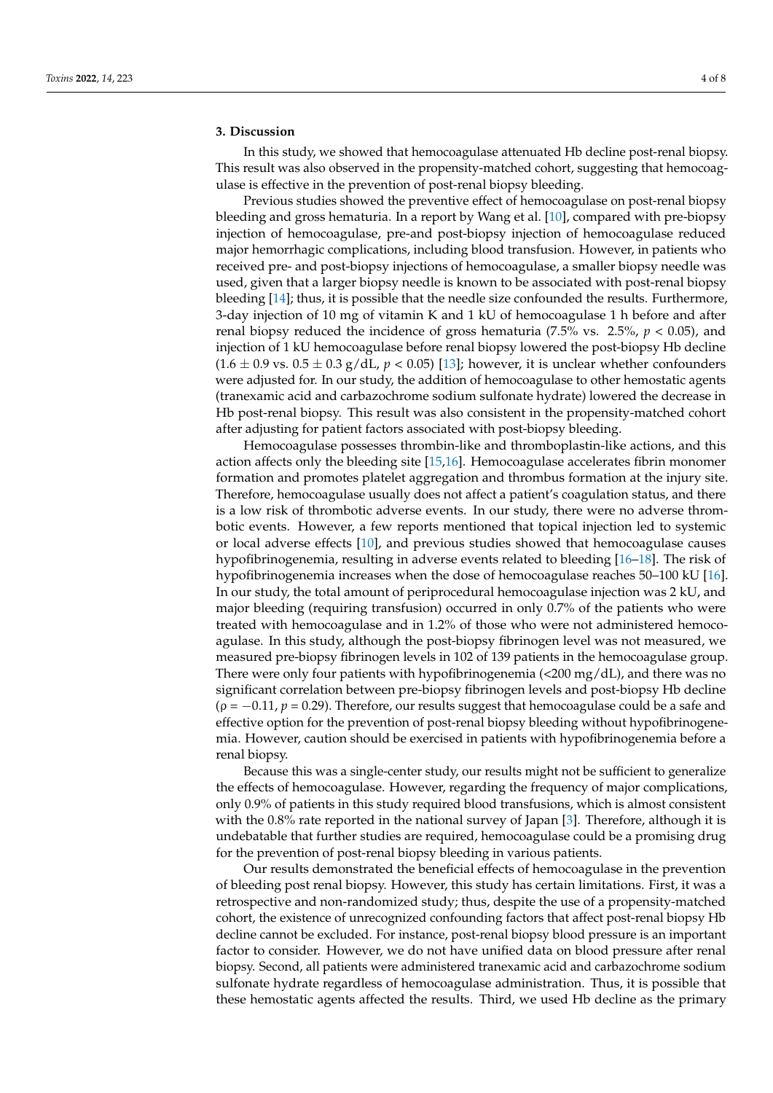# **3. Discussion**

In this study, we showed that hemocoagulase attenuated Hb decline post-renal biopsy. This result was also observed in the propensity-matched cohort, suggesting that hemocoagulase is effective in the prevention of post-renal biopsy bleeding.

Previous studies showed the preventive effect of hemocoagulase on post-renal biopsy bleeding and gross hematuria. In a report by Wang et al. [\[10\]](#page-6-9), compared with pre-biopsy injection of hemocoagulase, pre-and post-biopsy injection of hemocoagulase reduced major hemorrhagic complications, including blood transfusion. However, in patients who received pre- and post-biopsy injections of hemocoagulase, a smaller biopsy needle was used, given that a larger biopsy needle is known to be associated with post-renal biopsy bleeding [\[14\]](#page-6-13); thus, it is possible that the needle size confounded the results. Furthermore, 3-day injection of 10 mg of vitamin K and 1 kU of hemocoagulase 1 h before and after renal biopsy reduced the incidence of gross hematuria (7.5% vs. 2.5%,  $p < 0.05$ ), and injection of 1 kU hemocoagulase before renal biopsy lowered the post-biopsy Hb decline  $(1.6 \pm 0.9 \text{ vs. } 0.5 \pm 0.3 \text{ g/dL}, p < 0.05)$  [\[13\]](#page-6-12); however, it is unclear whether confounders were adjusted for. In our study, the addition of hemocoagulase to other hemostatic agents (tranexamic acid and carbazochrome sodium sulfonate hydrate) lowered the decrease in Hb post-renal biopsy. This result was also consistent in the propensity-matched cohort after adjusting for patient factors associated with post-biopsy bleeding.

Hemocoagulase possesses thrombin-like and thromboplastin-like actions, and this action affects only the bleeding site [\[15](#page-6-14)[,16\]](#page-6-15). Hemocoagulase accelerates fibrin monomer formation and promotes platelet aggregation and thrombus formation at the injury site. Therefore, hemocoagulase usually does not affect a patient's coagulation status, and there is a low risk of thrombotic adverse events. In our study, there were no adverse thrombotic events. However, a few reports mentioned that topical injection led to systemic or local adverse effects [\[10\]](#page-6-9), and previous studies showed that hemocoagulase causes hypofibrinogenemia, resulting in adverse events related to bleeding [\[16–](#page-6-15)[18\]](#page-7-0). The risk of hypofibrinogenemia increases when the dose of hemocoagulase reaches 50–100 kU [\[16\]](#page-6-15). In our study, the total amount of periprocedural hemocoagulase injection was 2 kU, and major bleeding (requiring transfusion) occurred in only 0.7% of the patients who were treated with hemocoagulase and in 1.2% of those who were not administered hemocoagulase. In this study, although the post-biopsy fibrinogen level was not measured, we measured pre-biopsy fibrinogen levels in 102 of 139 patients in the hemocoagulase group. There were only four patients with hypofibrinogenemia (<200 mg/dL), and there was no significant correlation between pre-biopsy fibrinogen levels and post-biopsy Hb decline  $(\rho = -0.11, p = 0.29)$ . Therefore, our results suggest that hemocoagulase could be a safe and effective option for the prevention of post-renal biopsy bleeding without hypofibrinogenemia. However, caution should be exercised in patients with hypofibrinogenemia before a renal biopsy.

Because this was a single-center study, our results might not be sufficient to generalize the effects of hemocoagulase. However, regarding the frequency of major complications, only 0.9% of patients in this study required blood transfusions, which is almost consistent with the 0.8% rate reported in the national survey of Japan [\[3\]](#page-6-2). Therefore, although it is undebatable that further studies are required, hemocoagulase could be a promising drug for the prevention of post-renal biopsy bleeding in various patients.

Our results demonstrated the beneficial effects of hemocoagulase in the prevention of bleeding post renal biopsy. However, this study has certain limitations. First, it was a retrospective and non-randomized study; thus, despite the use of a propensity-matched cohort, the existence of unrecognized confounding factors that affect post-renal biopsy Hb decline cannot be excluded. For instance, post-renal biopsy blood pressure is an important factor to consider. However, we do not have unified data on blood pressure after renal biopsy. Second, all patients were administered tranexamic acid and carbazochrome sodium sulfonate hydrate regardless of hemocoagulase administration. Thus, it is possible that these hemostatic agents affected the results. Third, we used Hb decline as the primary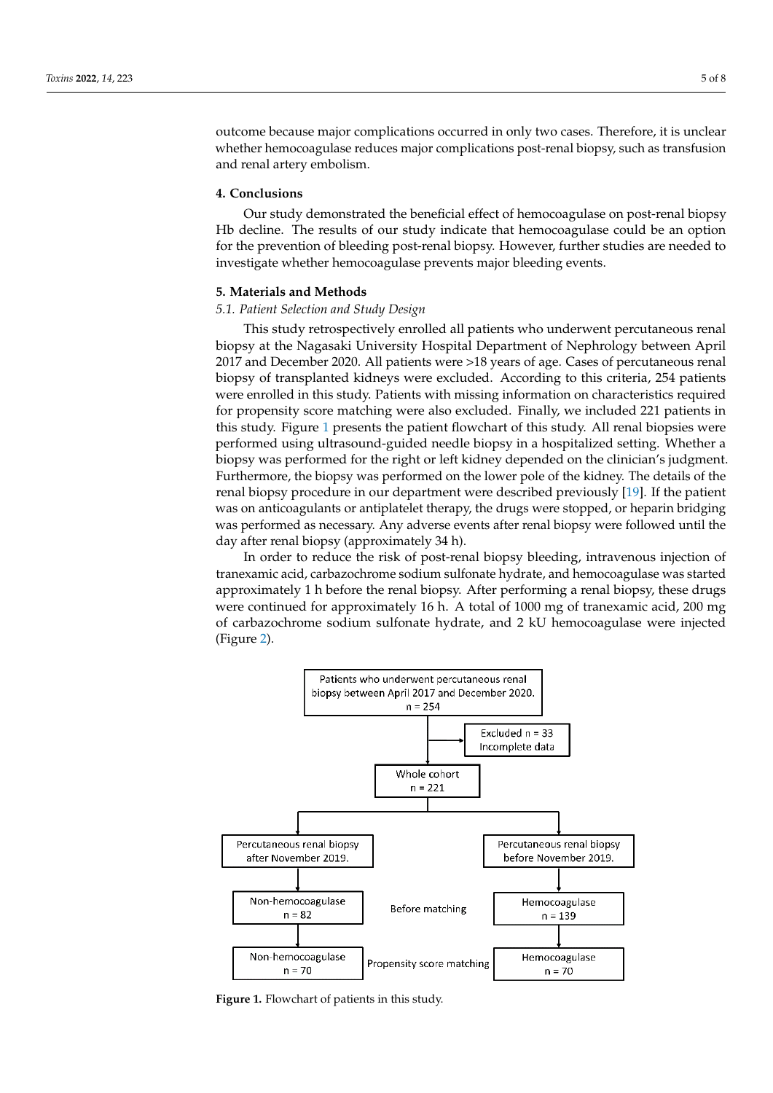outcome because major complications occurred in only two cases. Therefore, it is unclear whether hemocoagulase reduces major complications post-renal biopsy, such as transfusion and renal artery embolism.

# **4. Conclusions**

Our study demonstrated the beneficial effect of hemocoagulase on post-renal biopsy Hb decline. The results of our study indicate that hemocoagulase could be an option for the prevention of bleeding post-renal biopsy. However, further studies are needed to investigate whether hemocoagulase prevents major bleeding events.

# **5. Materials and Methods**

# *5.1. Patient Selection and Study Design*

This study retrospectively enrolled all patients who underwent percutaneous renal biopsy at the Nagasaki University Hospital Department of Nephrology between April 2017 and December 2020. All patients were >18 years of age. Cases of percutaneous renal biopsy of transplanted kidneys were excluded. According to this criteria, 254 patients were enrolled in this study. Patients with missing information on characteristics required for propensity score matching were also excluded. Finally, we included 221 patients in this study. Figure [1](#page-4-0) presents the patient flowchart of this study. All renal biopsies were performed using ultrasound-guided needle biopsy in a hospitalized setting. Whether a biopsy was performed for the right or left kidney depended on the clinician's judgment. Furthermore, the biopsy was performed on the lower pole of the kidney. The details of the renal biopsy procedure in our department were described previously [\[19\]](#page-7-1). If the patient was on anticoagulants or antiplatelet therapy, the drugs were stopped, or heparin bridging was performed as necessary. Any adverse events after renal biopsy were followed until the day after renal biopsy (approximately 34 h).

In order to reduce the risk of post-renal biopsy bleeding, intravenous injection of tranexamic acid, carbazochrome sodium sulfonate hydrate, and hemocoagulase was started approximately 1 h before the renal biopsy. After performing a renal biopsy, these drugs *The continued for approximately 16 h. A total of 1000 mg of tranexamic acid, 200 mg* of carbazochrome sodium sulfonate hydrate, and 2 kU hemocoagulase were injected (Figure [2\)](#page-5-0).

<span id="page-4-0"></span>

Figure 1. Flowchart of patients in this study.<br> **Figure 1.** Flowchart of patients in this study.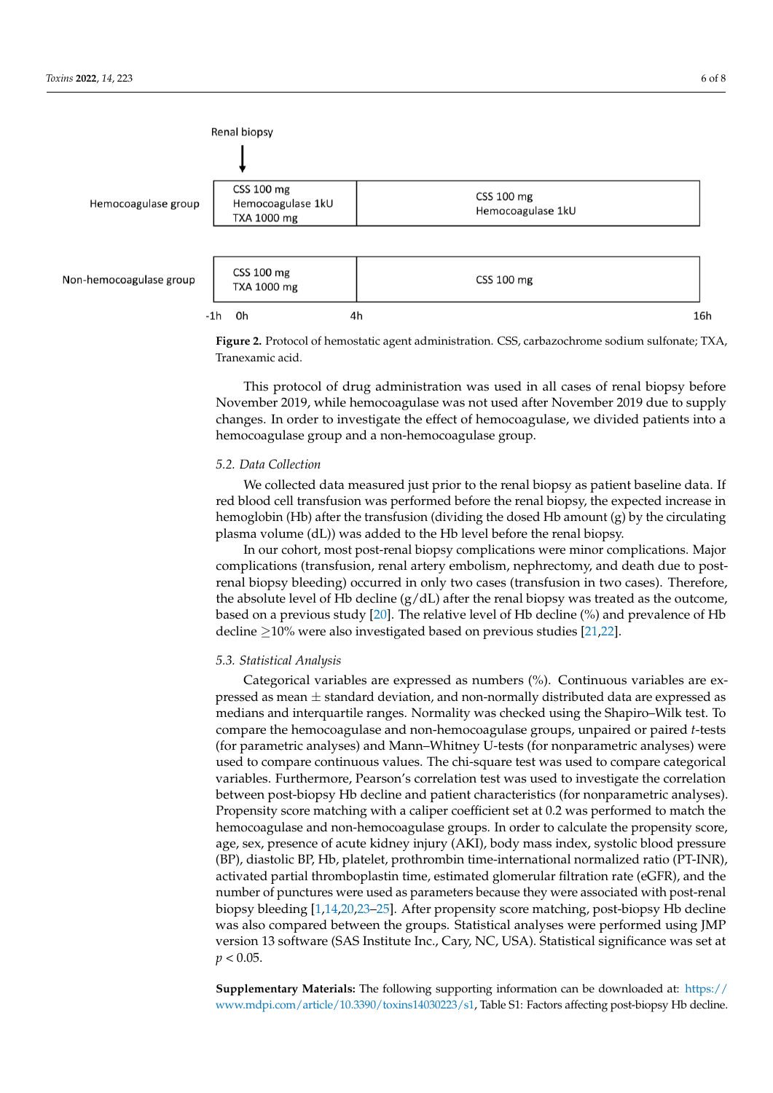<span id="page-5-0"></span>

**Francis 2. Figure 2. Protocol of hemostatic agent administration. CSS, carbon substitutions in the solution substitution. CSS, carbon substitution substitution. CSS, carbon substitution substitutions in the solution Figure 2.** Protocol of hemostatic agent administration. CSS, carbazochrome sodium sulfonate; TXA, Tranexamic acid.

This protocol of drug administration was used in all cases of renal biopsy before changes. In order to investigate the effect of hemocoagulase, we divided patients into a hemocoagulase group and a non-hemocoagulase group. November 2019, while hemocoagulase was not used after November 2019 due to supply

# hemocoagulase group and a non-hemocoagulase group. *5.2. Data Collection*

*5.2. Data Collection* red blood cell transfusion was performed before the renal biopsy, the expected increase in nemogroum (TD) and the nanotaster (arriang the absell TD amount (g) by the enclaring<br>plasma volume (dL)) was added to the Hb level before the renal biopsy. We collected data measured just prior to the renal biopsy as patient baseline data. If hemoglobin (Hb) after the transfusion (dividing the dosed Hb amount (g) by the circulating

In our cohort, most post-renal biopsy complications were minor complications. Major complications (transfusion, renal artery embolism, nephrectomy, and death due to postrenal biopsy bleeding) occurred in only two cases (transfusion in two cases). Therefore, the absolute level of Hb decline  $(g/dL)$  after the renal biopsy was treated as the outcome, based on a previous study [\[20\]](#page-7-2). The relative level of Hb decline (%) and prevalence of Hb decline  $\geq$ 10% were also investigated based on previous studies [\[21,](#page-7-3)[22\]](#page-7-4).

### *5.3. Statistical Analysis*

Categorical variables are expressed as numbers (%). Continuous variables are expressed as mean  $\pm$  standard deviation, and non-normally distributed data are expressed as medians and interquartile ranges. Normality was checked using the Shapiro–Wilk test. To compare the hemocoagulase and non-hemocoagulase groups, unpaired or paired *t*-tests (for parametric analyses) and Mann–Whitney U-tests (for nonparametric analyses) were used to compare continuous values. The chi-square test was used to compare categorical variables. Furthermore, Pearson's correlation test was used to investigate the correlation between post-biopsy Hb decline and patient characteristics (for nonparametric analyses). Propensity score matching with a caliper coefficient set at 0.2 was performed to match the hemocoagulase and non-hemocoagulase groups. In order to calculate the propensity score, age, sex, presence of acute kidney injury (AKI), body mass index, systolic blood pressure (BP), diastolic BP, Hb, platelet, prothrombin time-international normalized ratio (PT-INR), activated partial thromboplastin time, estimated glomerular filtration rate (eGFR), and the number of punctures were used as parameters because they were associated with post-renal biopsy bleeding [\[1](#page-6-0)[,14](#page-6-13)[,20,](#page-7-2)[23](#page-7-5)[–25\]](#page-7-6). After propensity score matching, post-biopsy Hb decline was also compared between the groups. Statistical analyses were performed using JMP version 13 software (SAS Institute Inc., Cary, NC, USA). Statistical significance was set at  $p < 0.05$ .

**Supplementary Materials:** The following supporting information can be downloaded at: [https://](https://www.mdpi.com/article/10.3390/toxins14030223/s1) [www.mdpi.com/article/10.3390/toxins14030223/s1,](https://www.mdpi.com/article/10.3390/toxins14030223/s1) Table S1: Factors affecting post-biopsy Hb decline.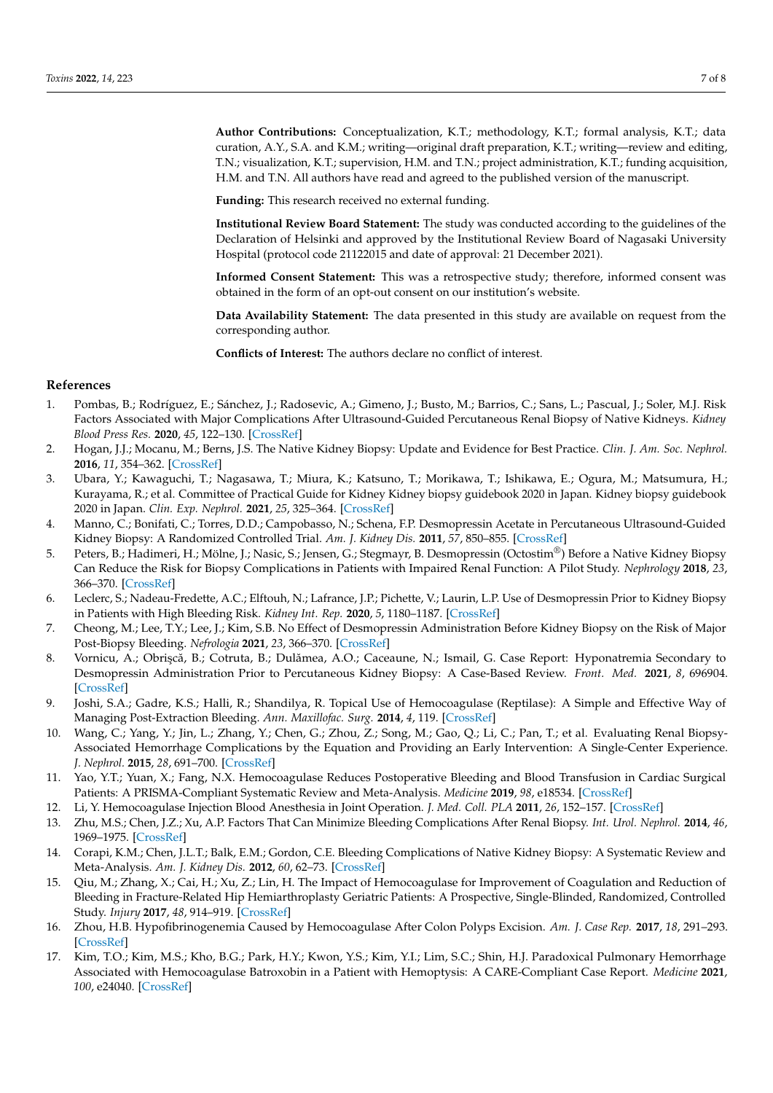**Author Contributions:** Conceptualization, K.T.; methodology, K.T.; formal analysis, K.T.; data curation, A.Y., S.A. and K.M.; writing—original draft preparation, K.T.; writing—review and editing, T.N.; visualization, K.T.; supervision, H.M. and T.N.; project administration, K.T.; funding acquisition, H.M. and T.N. All authors have read and agreed to the published version of the manuscript.

**Funding:** This research received no external funding.

**Institutional Review Board Statement:** The study was conducted according to the guidelines of the Declaration of Helsinki and approved by the Institutional Review Board of Nagasaki University Hospital (protocol code 21122015 and date of approval: 21 December 2021).

**Informed Consent Statement:** This was a retrospective study; therefore, informed consent was obtained in the form of an opt-out consent on our institution's website.

**Data Availability Statement:** The data presented in this study are available on request from the corresponding author.

**Conflicts of Interest:** The authors declare no conflict of interest.

# **References**

- <span id="page-6-0"></span>1. Pombas, B.; Rodríguez, E.; Sánchez, J.; Radosevic, A.; Gimeno, J.; Busto, M.; Barrios, C.; Sans, L.; Pascual, J.; Soler, M.J. Risk Factors Associated with Major Complications After Ultrasound-Guided Percutaneous Renal Biopsy of Native Kidneys. *Kidney Blood Press Res.* **2020**, *45*, 122–130. [\[CrossRef\]](http://doi.org/10.1159/000504544)
- <span id="page-6-1"></span>2. Hogan, J.J.; Mocanu, M.; Berns, J.S. The Native Kidney Biopsy: Update and Evidence for Best Practice. *Clin. J. Am. Soc. Nephrol.* **2016**, *11*, 354–362. [\[CrossRef\]](http://doi.org/10.2215/CJN.05750515)
- <span id="page-6-2"></span>3. Ubara, Y.; Kawaguchi, T.; Nagasawa, T.; Miura, K.; Katsuno, T.; Morikawa, T.; Ishikawa, E.; Ogura, M.; Matsumura, H.; Kurayama, R.; et al. Committee of Practical Guide for Kidney Kidney biopsy guidebook 2020 in Japan. Kidney biopsy guidebook 2020 in Japan. *Clin. Exp. Nephrol.* **2021**, *25*, 325–364. [\[CrossRef\]](http://doi.org/10.1007/s10157-020-01986-6)
- <span id="page-6-3"></span>4. Manno, C.; Bonifati, C.; Torres, D.D.; Campobasso, N.; Schena, F.P. Desmopressin Acetate in Percutaneous Ultrasound-Guided Kidney Biopsy: A Randomized Controlled Trial. *Am. J. Kidney Dis.* **2011**, *57*, 850–855. [\[CrossRef\]](http://doi.org/10.1053/j.ajkd.2010.12.019)
- <span id="page-6-4"></span>5. Peters, B.; Hadimeri, H.; Mölne, J.; Nasic, S.; Jensen, G.; Stegmayr, B. Desmopressin (Octostim®) Before a Native Kidney Biopsy Can Reduce the Risk for Biopsy Complications in Patients with Impaired Renal Function: A Pilot Study. *Nephrology* **2018**, *23*, 366–370. [\[CrossRef\]](http://doi.org/10.1111/nep.13004)
- <span id="page-6-5"></span>6. Leclerc, S.; Nadeau-Fredette, A.C.; Elftouh, N.; Lafrance, J.P.; Pichette, V.; Laurin, L.P. Use of Desmopressin Prior to Kidney Biopsy in Patients with High Bleeding Risk. *Kidney Int. Rep.* **2020**, *5*, 1180–1187. [\[CrossRef\]](http://doi.org/10.1016/j.ekir.2020.05.006)
- <span id="page-6-6"></span>7. Cheong, M.; Lee, T.Y.; Lee, J.; Kim, S.B. No Effect of Desmopressin Administration Before Kidney Biopsy on the Risk of Major Post-Biopsy Bleeding. *Nefrologia* **2021**, *23*, 366–370. [\[CrossRef\]](http://doi.org/10.1016/j.nefro.2020.12.021)
- <span id="page-6-7"></span>8. Vornicu, A.; Obrișcă, B.; Cotruta, B.; Dulămea, A.O.; Caceaune, N.; Ismail, G. Case Report: Hyponatremia Secondary to Desmopressin Administration Prior to Percutaneous Kidney Biopsy: A Case-Based Review. *Front. Med.* **2021**, *8*, 696904. [\[CrossRef\]](http://doi.org/10.3389/fmed.2021.696904)
- <span id="page-6-8"></span>9. Joshi, S.A.; Gadre, K.S.; Halli, R.; Shandilya, R. Topical Use of Hemocoagulase (Reptilase): A Simple and Effective Way of Managing Post-Extraction Bleeding. *Ann. Maxillofac. Surg.* **2014**, *4*, 119. [\[CrossRef\]](http://doi.org/10.4103/2231-0746.133082)
- <span id="page-6-9"></span>10. Wang, C.; Yang, Y.; Jin, L.; Zhang, Y.; Chen, G.; Zhou, Z.; Song, M.; Gao, Q.; Li, C.; Pan, T.; et al. Evaluating Renal Biopsy-Associated Hemorrhage Complications by the Equation and Providing an Early Intervention: A Single-Center Experience. *J. Nephrol.* **2015**, *28*, 691–700. [\[CrossRef\]](http://doi.org/10.1007/s40620-015-0197-x)
- <span id="page-6-10"></span>11. Yao, Y.T.; Yuan, X.; Fang, N.X. Hemocoagulase Reduces Postoperative Bleeding and Blood Transfusion in Cardiac Surgical Patients: A PRISMA-Compliant Systematic Review and Meta-Analysis. *Medicine* **2019**, *98*, e18534. [\[CrossRef\]](http://doi.org/10.1097/MD.0000000000018534)
- <span id="page-6-11"></span>12. Li, Y. Hemocoagulase Injection Blood Anesthesia in Joint Operation. *J. Med. Coll. PLA* **2011**, *26*, 152–157. [\[CrossRef\]](http://doi.org/10.1016/S1000-1948(11)60046-4)
- <span id="page-6-12"></span>13. Zhu, M.S.; Chen, J.Z.; Xu, A.P. Factors That Can Minimize Bleeding Complications After Renal Biopsy. *Int. Urol. Nephrol.* **2014**, *46*, 1969–1975. [\[CrossRef\]](http://doi.org/10.1007/s11255-013-0560-6)
- <span id="page-6-13"></span>14. Corapi, K.M.; Chen, J.L.T.; Balk, E.M.; Gordon, C.E. Bleeding Complications of Native Kidney Biopsy: A Systematic Review and Meta-Analysis. *Am. J. Kidney Dis.* **2012**, *60*, 62–73. [\[CrossRef\]](http://doi.org/10.1053/j.ajkd.2012.02.330)
- <span id="page-6-14"></span>15. Qiu, M.; Zhang, X.; Cai, H.; Xu, Z.; Lin, H. The Impact of Hemocoagulase for Improvement of Coagulation and Reduction of Bleeding in Fracture-Related Hip Hemiarthroplasty Geriatric Patients: A Prospective, Single-Blinded, Randomized, Controlled Study. *Injury* **2017**, *48*, 914–919. [\[CrossRef\]](http://doi.org/10.1016/j.injury.2016.11.028)
- <span id="page-6-15"></span>16. Zhou, H.B. Hypofibrinogenemia Caused by Hemocoagulase After Colon Polyps Excision. *Am. J. Case Rep.* **2017**, *18*, 291–293. [\[CrossRef\]](http://doi.org/10.12659/AJCR.902059)
- 17. Kim, T.O.; Kim, M.S.; Kho, B.G.; Park, H.Y.; Kwon, Y.S.; Kim, Y.I.; Lim, S.C.; Shin, H.J. Paradoxical Pulmonary Hemorrhage Associated with Hemocoagulase Batroxobin in a Patient with Hemoptysis: A CARE-Compliant Case Report. *Medicine* **2021**, *100*, e24040. [\[CrossRef\]](http://doi.org/10.1097/MD.0000000000024040)